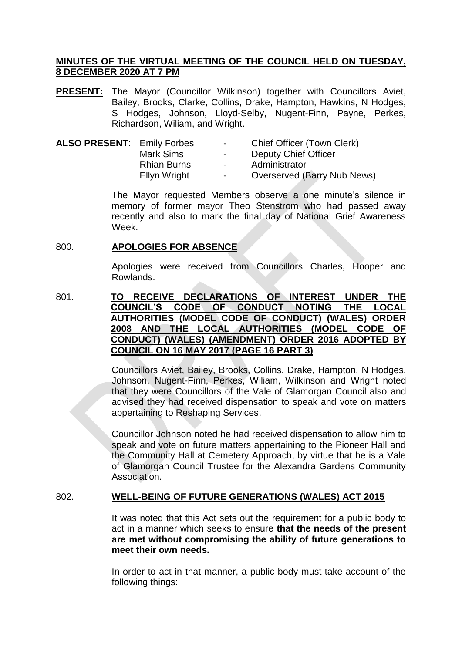## **MINUTES OF THE VIRTUAL MEETING OF THE COUNCIL HELD ON TUESDAY, 8 DECEMBER 2020 AT 7 PM**

**PRESENT:** The Mayor (Councillor Wilkinson) together with Councillors Aviet, Bailey, Brooks, Clarke, Collins, Drake, Hampton, Hawkins, N Hodges, S Hodges, Johnson, Lloyd-Selby, Nugent-Finn, Payne, Perkes, Richardson, Wiliam, and Wright.

| <b>ALSO PRESENT: Emily Forbes</b> |                    | $\sim$ | Chief Officer (Town Clerk)  |
|-----------------------------------|--------------------|--------|-----------------------------|
|                                   | Mark Sims          | $\sim$ | Deputy Chief Officer        |
|                                   | <b>Rhian Burns</b> | $\sim$ | Administrator               |
|                                   | Ellyn Wright       | $\sim$ | Overserved (Barry Nub News) |
|                                   |                    |        |                             |

The Mayor requested Members observe a one minute's silence in memory of former mayor Theo Stenstrom who had passed away recently and also to mark the final day of National Grief Awareness Week.

## 800. **APOLOGIES FOR ABSENCE**

Apologies were received from Councillors Charles, Hooper and Rowlands.

801. **TO RECEIVE DECLARATIONS OF INTEREST UNDER THE COUNCIL'S CODE OF CONDUCT NOTING THE LOCAL AUTHORITIES (MODEL CODE OF CONDUCT) (WALES) ORDER 2008 AND THE LOCAL AUTHORITIES (MODEL CODE OF CONDUCT) (WALES) (AMENDMENT) ORDER 2016 ADOPTED BY COUNCIL ON 16 MAY 2017 (PAGE 16 PART 3)**

> Councillors Aviet, Bailey, Brooks, Collins, Drake, Hampton, N Hodges, Johnson, Nugent-Finn, Perkes, Wiliam, Wilkinson and Wright noted that they were Councillors of the Vale of Glamorgan Council also and advised they had received dispensation to speak and vote on matters appertaining to Reshaping Services.

> Councillor Johnson noted he had received dispensation to allow him to speak and vote on future matters appertaining to the Pioneer Hall and the Community Hall at Cemetery Approach, by virtue that he is a Vale of Glamorgan Council Trustee for the Alexandra Gardens Community Association.

# 802. **WELL-BEING OF FUTURE GENERATIONS (WALES) ACT 2015**

It was noted that this Act sets out the requirement for a public body to act in a manner which seeks to ensure **that the needs of the present are met without compromising the ability of future generations to meet their own needs.**

In order to act in that manner, a public body must take account of the following things: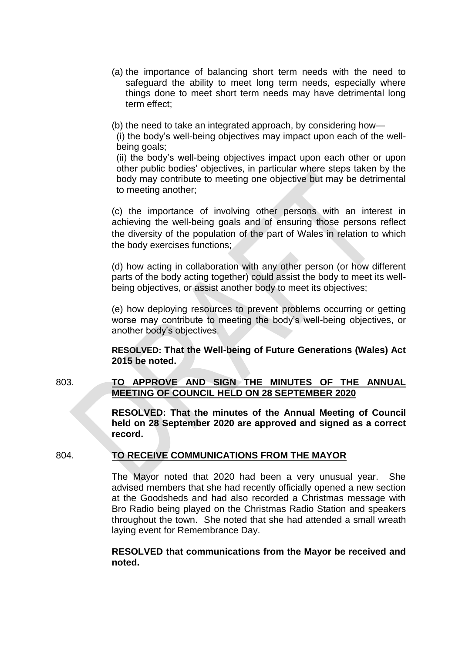- (a) the importance of balancing short term needs with the need to safeguard the ability to meet long term needs, especially where things done to meet short term needs may have detrimental long term effect;
- (b) the need to take an integrated approach, by considering how—

(i) the body's well-being objectives may impact upon each of the wellbeing goals;

(ii) the body's well-being objectives impact upon each other or upon other public bodies' objectives, in particular where steps taken by the body may contribute to meeting one objective but may be detrimental to meeting another;

(c) the importance of involving other persons with an interest in achieving the well-being goals and of ensuring those persons reflect the diversity of the population of the part of Wales in relation to which the body exercises functions;

(d) how acting in collaboration with any other person (or how different parts of the body acting together) could assist the body to meet its wellbeing objectives, or assist another body to meet its objectives;

(e) how deploying resources to prevent problems occurring or getting worse may contribute to meeting the body's well-being objectives, or another body's objectives.

**RESOLVED: That the Well-being of Future Generations (Wales) Act 2015 be noted.**

# 803. **TO APPROVE AND SIGN THE MINUTES OF THE ANNUAL MEETING OF COUNCIL HELD ON 28 SEPTEMBER 2020**

**RESOLVED: That the minutes of the Annual Meeting of Council held on 28 September 2020 are approved and signed as a correct record.**

# 804. **TO RECEIVE COMMUNICATIONS FROM THE MAYOR**

The Mayor noted that 2020 had been a very unusual year. She advised members that she had recently officially opened a new section at the Goodsheds and had also recorded a Christmas message with Bro Radio being played on the Christmas Radio Station and speakers throughout the town. She noted that she had attended a small wreath laying event for Remembrance Day.

## **RESOLVED that communications from the Mayor be received and noted.**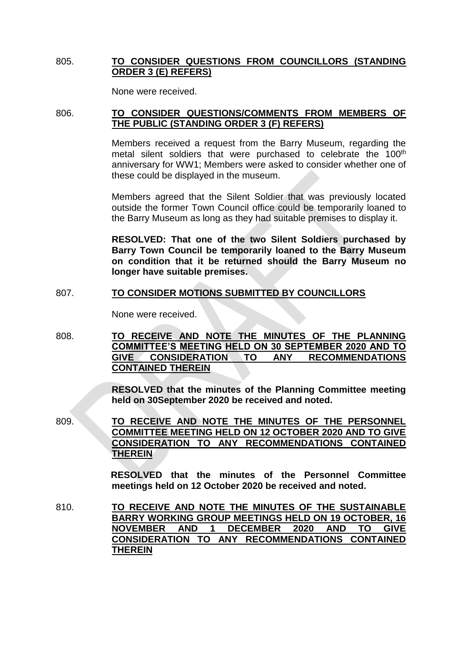# 805. **TO CONSIDER QUESTIONS FROM COUNCILLORS (STANDING ORDER 3 (E) REFERS)**

None were received.

## 806. **TO CONSIDER QUESTIONS/COMMENTS FROM MEMBERS OF THE PUBLIC (STANDING ORDER 3 (F) REFERS)**

Members received a request from the Barry Museum, regarding the metal silent soldiers that were purchased to celebrate the 100<sup>th</sup> anniversary for WW1; Members were asked to consider whether one of these could be displayed in the museum.

Members agreed that the Silent Soldier that was previously located outside the former Town Council office could be temporarily loaned to the Barry Museum as long as they had suitable premises to display it.

**RESOLVED: That one of the two Silent Soldiers purchased by Barry Town Council be temporarily loaned to the Barry Museum on condition that it be returned should the Barry Museum no longer have suitable premises.**

# 807. **TO CONSIDER MOTIONS SUBMITTED BY COUNCILLORS**

None were received.

808. **TO RECEIVE AND NOTE THE MINUTES OF THE PLANNING COMMITTEE'S MEETING HELD ON 30 SEPTEMBER 2020 AND TO GIVE CONSIDERATION TO ANY RECOMMENDATIONS CONTAINED THEREIN** 

> **RESOLVED that the minutes of the Planning Committee meeting held on 30September 2020 be received and noted.**

809. **TO RECEIVE AND NOTE THE MINUTES OF THE PERSONNEL COMMITTEE MEETING HELD ON 12 OCTOBER 2020 AND TO GIVE CONSIDERATION TO ANY RECOMMENDATIONS CONTAINED THEREIN**

> **RESOLVED that the minutes of the Personnel Committee meetings held on 12 October 2020 be received and noted.**

810. **TO RECEIVE AND NOTE THE MINUTES OF THE SUSTAINABLE BARRY WORKING GROUP MEETINGS HELD ON 19 OCTOBER, 16 NOVEMBER AND 1 DECEMBER 2020 AND TO GIVE CONSIDERATION TO ANY RECOMMENDATIONS CONTAINED THEREIN**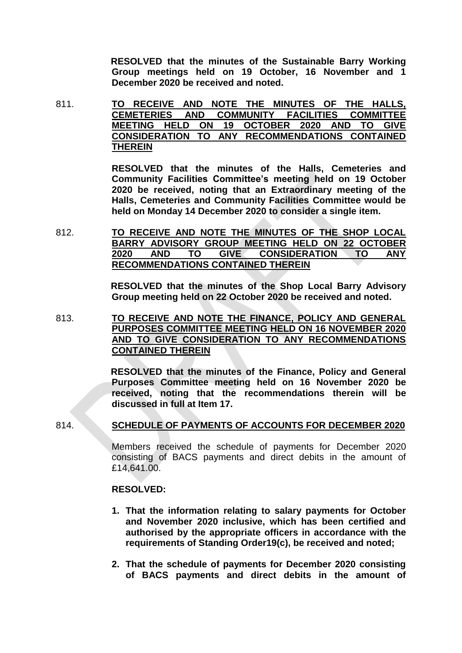**RESOLVED that the minutes of the Sustainable Barry Working Group meetings held on 19 October, 16 November and 1 December 2020 be received and noted.**

811. **TO RECEIVE AND NOTE THE MINUTES OF THE HALLS, CEMETERIES AND COMMUNITY FACILITIES COMMITTEE MEETING HELD ON 19 OCTOBER 2020 AND TO GIVE CONSIDERATION TO ANY RECOMMENDATIONS CONTAINED THEREIN**

> **RESOLVED that the minutes of the Halls, Cemeteries and Community Facilities Committee's meeting held on 19 October 2020 be received, noting that an Extraordinary meeting of the Halls, Cemeteries and Community Facilities Committee would be held on Monday 14 December 2020 to consider a single item.**

812. **TO RECEIVE AND NOTE THE MINUTES OF THE SHOP LOCAL BARRY ADVISORY GROUP MEETING HELD ON 22 OCTOBER 2020 AND TO GIVE CONSIDERATION TO ANY RECOMMENDATIONS CONTAINED THEREIN**

> **RESOLVED that the minutes of the Shop Local Barry Advisory Group meeting held on 22 October 2020 be received and noted.**

813. **TO RECEIVE AND NOTE THE FINANCE, POLICY AND GENERAL PURPOSES COMMITTEE MEETING HELD ON 16 NOVEMBER 2020 AND TO GIVE CONSIDERATION TO ANY RECOMMENDATIONS CONTAINED THEREIN**

> **RESOLVED that the minutes of the Finance, Policy and General Purposes Committee meeting held on 16 November 2020 be received, noting that the recommendations therein will be discussed in full at Item 17.**

### 814. **SCHEDULE OF PAYMENTS OF ACCOUNTS FOR DECEMBER 2020**

Members received the schedule of payments for December 2020 consisting of BACS payments and direct debits in the amount of £14,641.00.

### **RESOLVED:**

- **1. That the information relating to salary payments for October and November 2020 inclusive, which has been certified and authorised by the appropriate officers in accordance with the requirements of Standing Order19(c), be received and noted;**
- **2. That the schedule of payments for December 2020 consisting of BACS payments and direct debits in the amount of**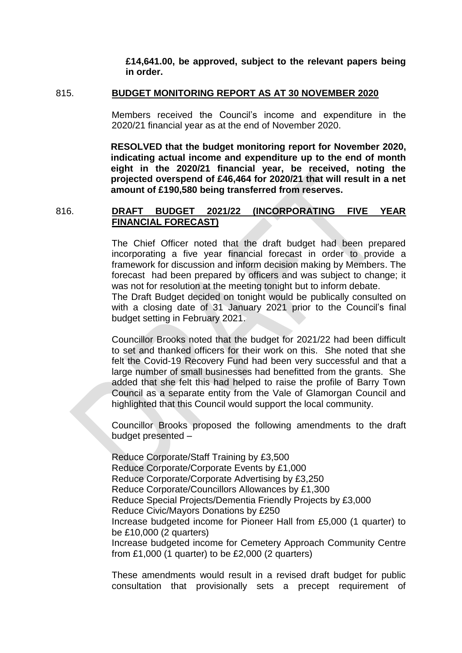**£14,641.00, be approved, subject to the relevant papers being in order.**

#### 815. **BUDGET MONITORING REPORT AS AT 30 NOVEMBER 2020**

Members received the Council's income and expenditure in the 2020/21 financial year as at the end of November 2020.

**RESOLVED that the budget monitoring report for November 2020, indicating actual income and expenditure up to the end of month eight in the 2020/21 financial year, be received, noting the projected overspend of £46,464 for 2020/21 that will result in a net amount of £190,580 being transferred from reserves.**

816. **DRAFT BUDGET 2021/22 (INCORPORATING FIVE YEAR FINANCIAL FORECAST)**

> The Chief Officer noted that the draft budget had been prepared incorporating a five year financial forecast in order to provide a framework for discussion and inform decision making by Members. The forecast had been prepared by officers and was subject to change; it was not for resolution at the meeting tonight but to inform debate.

> The Draft Budget decided on tonight would be publically consulted on with a closing date of 31 January 2021 prior to the Council's final budget setting in February 2021.

> Councillor Brooks noted that the budget for 2021/22 had been difficult to set and thanked officers for their work on this. She noted that she felt the Covid-19 Recovery Fund had been very successful and that a large number of small businesses had benefitted from the grants. She added that she felt this had helped to raise the profile of Barry Town Council as a separate entity from the Vale of Glamorgan Council and highlighted that this Council would support the local community.

> Councillor Brooks proposed the following amendments to the draft budget presented –

> Reduce Corporate/Staff Training by £3,500 Reduce Corporate/Corporate Events by £1,000 Reduce Corporate/Corporate Advertising by £3,250 Reduce Corporate/Councillors Allowances by £1,300 Reduce Special Projects/Dementia Friendly Projects by £3,000 Reduce Civic/Mayors Donations by £250 Increase budgeted income for Pioneer Hall from £5,000 (1 quarter) to be £10,000 (2 quarters) Increase budgeted income for Cemetery Approach Community Centre from  $£1,000$  (1 quarter) to be  $£2,000$  (2 quarters)

> These amendments would result in a revised draft budget for public consultation that provisionally sets a precept requirement of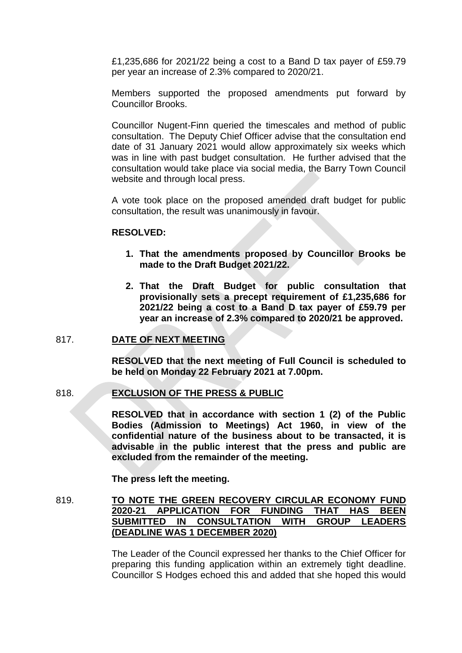£1,235,686 for 2021/22 being a cost to a Band D tax payer of £59.79 per year an increase of 2.3% compared to 2020/21.

Members supported the proposed amendments put forward by Councillor Brooks.

Councillor Nugent-Finn queried the timescales and method of public consultation. The Deputy Chief Officer advise that the consultation end date of 31 January 2021 would allow approximately six weeks which was in line with past budget consultation. He further advised that the consultation would take place via social media, the Barry Town Council website and through local press.

A vote took place on the proposed amended draft budget for public consultation, the result was unanimously in favour.

### **RESOLVED:**

- **1. That the amendments proposed by Councillor Brooks be made to the Draft Budget 2021/22.**
- **2. That the Draft Budget for public consultation that provisionally sets a precept requirement of £1,235,686 for 2021/22 being a cost to a Band D tax payer of £59.79 per year an increase of 2.3% compared to 2020/21 be approved.**

## 817. **DATE OF NEXT MEETING**

**RESOLVED that the next meeting of Full Council is scheduled to be held on Monday 22 February 2021 at 7.00pm.**

### 818. **EXCLUSION OF THE PRESS & PUBLIC**

**RESOLVED that in accordance with section 1 (2) of the Public Bodies (Admission to Meetings) Act 1960, in view of the confidential nature of the business about to be transacted, it is advisable in the public interest that the press and public are excluded from the remainder of the meeting.**

**The press left the meeting.**

819. **TO NOTE THE GREEN RECOVERY CIRCULAR ECONOMY FUND 2020-21 APPLICATION FOR FUNDING THAT HAS BEEN SUBMITTED IN CONSULTATION WITH GROUP LEADERS (DEADLINE WAS 1 DECEMBER 2020)**

> The Leader of the Council expressed her thanks to the Chief Officer for preparing this funding application within an extremely tight deadline. Councillor S Hodges echoed this and added that she hoped this would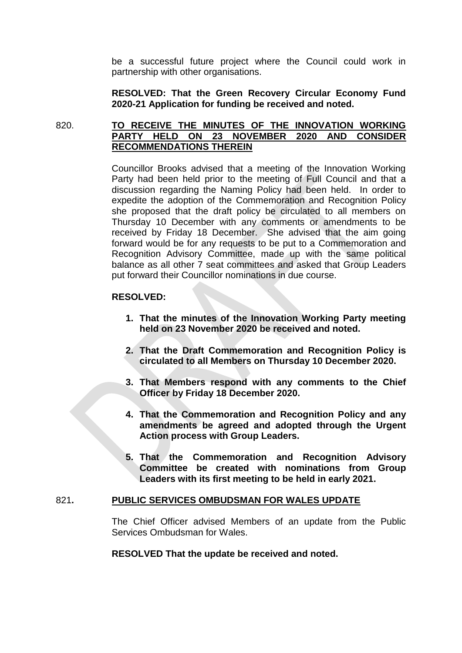be a successful future project where the Council could work in partnership with other organisations.

**RESOLVED: That the Green Recovery Circular Economy Fund 2020-21 Application for funding be received and noted.**

## 820. **TO RECEIVE THE MINUTES OF THE INNOVATION WORKING PARTY HELD ON 23 NOVEMBER 2020 AND CONSIDER RECOMMENDATIONS THEREIN**

Councillor Brooks advised that a meeting of the Innovation Working Party had been held prior to the meeting of Full Council and that a discussion regarding the Naming Policy had been held. In order to expedite the adoption of the Commemoration and Recognition Policy she proposed that the draft policy be circulated to all members on Thursday 10 December with any comments or amendments to be received by Friday 18 December. She advised that the aim going forward would be for any requests to be put to a Commemoration and Recognition Advisory Committee, made up with the same political balance as all other 7 seat committees and asked that Group Leaders put forward their Councillor nominations in due course.

## **RESOLVED:**

- **1. That the minutes of the Innovation Working Party meeting held on 23 November 2020 be received and noted.**
- **2. That the Draft Commemoration and Recognition Policy is circulated to all Members on Thursday 10 December 2020.**
- **3. That Members respond with any comments to the Chief Officer by Friday 18 December 2020.**
- **4. That the Commemoration and Recognition Policy and any amendments be agreed and adopted through the Urgent Action process with Group Leaders.**
- **5. That the Commemoration and Recognition Advisory Committee be created with nominations from Group Leaders with its first meeting to be held in early 2021.**

### 821**. PUBLIC SERVICES OMBUDSMAN FOR WALES UPDATE**

The Chief Officer advised Members of an update from the Public Services Ombudsman for Wales.

### **RESOLVED That the update be received and noted.**